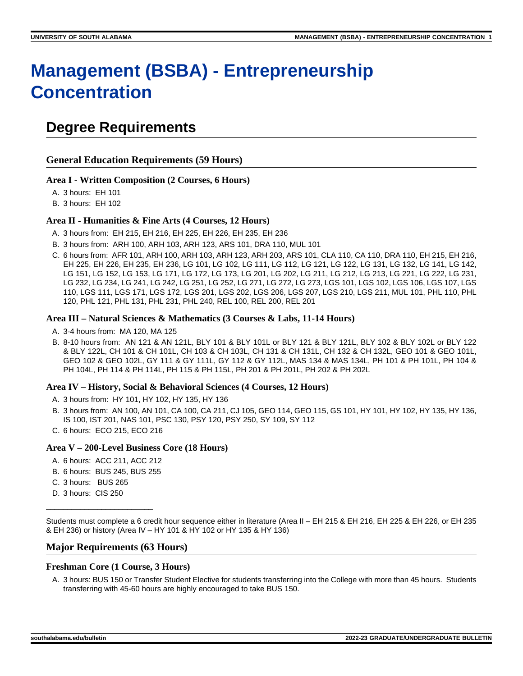# **Management (BSBA) - Entrepreneurship Concentration**

# **Degree Requirements**

### **General Education Requirements (59 Hours)**

### **Area I - Written Composition (2 Courses, 6 Hours)**

A. 3 hours: EH 101

B. 3 hours: EH 102

### **Area II - Humanities & Fine Arts (4 Courses, 12 Hours)**

- A. 3 hours from: EH 215, EH 216, EH 225, EH 226, EH 235, EH 236
- B. 3 hours from: ARH 100, ARH 103, ARH 123, ARS 101, DRA 110, MUL 101
- C. 6 hours from: AFR 101, ARH 100, ARH 103, ARH 123, ARH 203, ARS 101, CLA 110, CA 110, DRA 110, EH 215, EH 216, EH 225, EH 226, EH 235, EH 236, LG 101, LG 102, LG 111, LG 112, LG 121, LG 122, LG 131, LG 132, LG 141, LG 142, LG 151, LG 152, LG 153, LG 171, LG 172, LG 173, LG 201, LG 202, LG 211, LG 212, LG 213, LG 221, LG 222, LG 231, LG 232, LG 234, LG 241, LG 242, LG 251, LG 252, LG 271, LG 272, LG 273, LGS 101, LGS 102, LGS 106, LGS 107, LGS 110, LGS 111, LGS 171, LGS 172, LGS 201, LGS 202, LGS 206, LGS 207, LGS 210, LGS 211, MUL 101, PHL 110, PHL 120, PHL 121, PHL 131, PHL 231, PHL 240, REL 100, REL 200, REL 201

### **Area III – Natural Sciences & Mathematics (3 Courses & Labs, 11-14 Hours)**

- A. 3-4 hours from: MA 120, MA 125
- B. 8-10 hours from: AN 121 & AN 121L, BLY 101 & BLY 101L or BLY 121 & BLY 121L, BLY 102 & BLY 102L or BLY 122 & BLY 122L, CH 101 & CH 101L, CH 103 & CH 103L, CH 131 & CH 131L, CH 132 & CH 132L, GEO 101 & GEO 101L, GEO 102 & GEO 102L, GY 111 & GY 111L, GY 112 & GY 112L, MAS 134 & MAS 134L, PH 101 & PH 101L, PH 104 & PH 104L, PH 114 & PH 114L, PH 115 & PH 115L, PH 201 & PH 201L, PH 202 & PH 202L

### **Area IV – History, Social & Behavioral Sciences (4 Courses, 12 Hours)**

- A. 3 hours from: HY 101, HY 102, HY 135, HY 136
- B. 3 hours from: AN 100, AN 101, CA 100, CA 211, CJ 105, GEO 114, GEO 115, GS 101, HY 101, HY 102, HY 135, HY 136, IS 100, IST 201, NAS 101, PSC 130, PSY 120, PSY 250, SY 109, SY 112
- C. 6 hours: ECO 215, ECO 216

### **Area V – 200-Level Business Core (18 Hours)**

- A. 6 hours: ACC 211, ACC 212
- B. 6 hours: BUS 245, BUS 255
- C. 3 hours: BUS 265
- D. 3 hours: CIS 250

\_\_\_\_\_\_\_\_\_\_\_\_\_\_\_\_\_\_\_\_\_\_\_\_\_

Students must complete a 6 credit hour sequence either in literature (Area II – EH 215 & EH 216, EH 225 & EH 226, or EH 235 & EH 236) or history (Area IV – HY 101 & HY 102 or HY 135 & HY 136)

### **Major Requirements (63 Hours)**

### **Freshman Core (1 Course, 3 Hours)**

A. 3 hours: BUS 150 or Transfer Student Elective for students transferring into the College with more than 45 hours. Students transferring with 45-60 hours are highly encouraged to take BUS 150.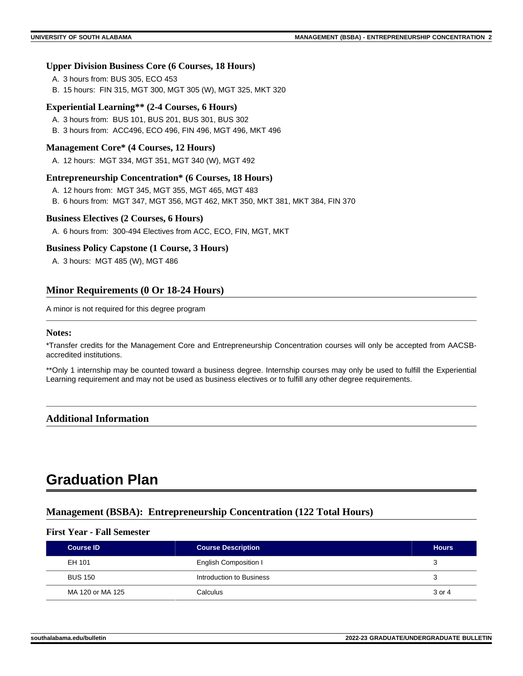### **Upper Division Business Core (6 Courses, 18 Hours)**

- A. 3 hours from: BUS 305, ECO 453
- B. 15 hours: FIN 315, MGT 300, MGT 305 (W), MGT 325, MKT 320

### **Experiential Learning\*\* (2-4 Courses, 6 Hours)**

- A. 3 hours from: BUS 101, BUS 201, BUS 301, BUS 302
- B. 3 hours from: ACC496, ECO 496, FIN 496, MGT 496, MKT 496

### **Management Core\* (4 Courses, 12 Hours)**

A. 12 hours: MGT 334, MGT 351, MGT 340 (W), MGT 492

### **Entrepreneurship Concentration\* (6 Courses, 18 Hours)**

- A. 12 hours from: MGT 345, MGT 355, MGT 465, MGT 483
- B. 6 hours from: MGT 347, MGT 356, MGT 462, MKT 350, MKT 381, MKT 384, FIN 370

### **Business Electives (2 Courses, 6 Hours)**

A. 6 hours from: 300-494 Electives from ACC, ECO, FIN, MGT, MKT

### **Business Policy Capstone (1 Course, 3 Hours)**

A. 3 hours: MGT 485 (W), MGT 486

### **Minor Requirements (0 Or 18-24 Hours)**

A minor is not required for this degree program

### **Notes:**

\*Transfer credits for the Management Core and Entrepreneurship Concentration courses will only be accepted from AACSBaccredited institutions.

\*\*Only 1 internship may be counted toward a business degree. Internship courses may only be used to fulfill the Experiential Learning requirement and may not be used as business electives or to fulfill any other degree requirements.

### **Additional Information**

# **Graduation Plan**

# **Management (BSBA): Entrepreneurship Concentration (122 Total Hours)**

### **First Year - Fall Semester**

| <b>Course ID</b> | <b>Course Description</b> | <b>Hours</b> |
|------------------|---------------------------|--------------|
| EH 101           | English Composition I     | З            |
| <b>BUS 150</b>   | Introduction to Business  | 3            |
| MA 120 or MA 125 | Calculus                  | 3 or 4       |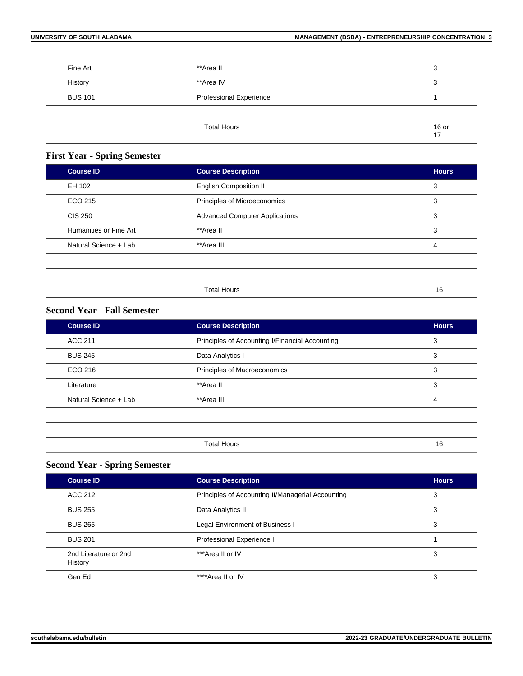| Fine Art       | **Area II               | 3             |
|----------------|-------------------------|---------------|
| History        | **Area IV               | 3             |
| <b>BUS 101</b> | Professional Experience |               |
|                |                         |               |
|                | <b>Total Hours</b>      | $16$ or<br>17 |

# **First Year - Spring Semester**

| <b>Course ID</b>       | <b>Course Description</b>             | <b>Hours</b> |
|------------------------|---------------------------------------|--------------|
| EH 102                 | <b>English Composition II</b>         | 3            |
| ECO 215                | Principles of Microeconomics          | 3            |
| <b>CIS 250</b>         | <b>Advanced Computer Applications</b> | 3            |
| Humanities or Fine Art | **Area II                             | 3            |
| Natural Science + Lab  | **Area III                            | 4            |
|                        |                                       |              |

| $T$ otal r<br>HOUL. | . |
|---------------------|---|
|                     |   |

# **Second Year - Fall Semester**

| <b>Course ID</b>      | <b>Course Description</b>                       | <b>Hours</b> |
|-----------------------|-------------------------------------------------|--------------|
| ACC 211               | Principles of Accounting I/Financial Accounting | 3            |
| <b>BUS 245</b>        | Data Analytics I                                | 3            |
| ECO 216               | Principles of Macroeconomics                    | 3            |
| Literature            | **Area II                                       | 3            |
| Natural Science + Lab | **Area III                                      | 4            |
|                       |                                                 |              |

| .<br>--<br>. |  |
|--------------|--|

# **Second Year - Spring Semester**

| <b>Course ID</b>                 | <b>Course Description</b>                         | <b>Hours</b> |
|----------------------------------|---------------------------------------------------|--------------|
| ACC 212                          | Principles of Accounting II/Managerial Accounting | 3            |
| <b>BUS 255</b>                   | Data Analytics II                                 | 3            |
| <b>BUS 265</b>                   | Legal Environment of Business I                   | 3            |
| <b>BUS 201</b>                   | Professional Experience II                        |              |
| 2nd Literature or 2nd<br>History | ***Area II or IV                                  | 3            |
| Gen Ed                           | ****Area II or IV                                 | 3            |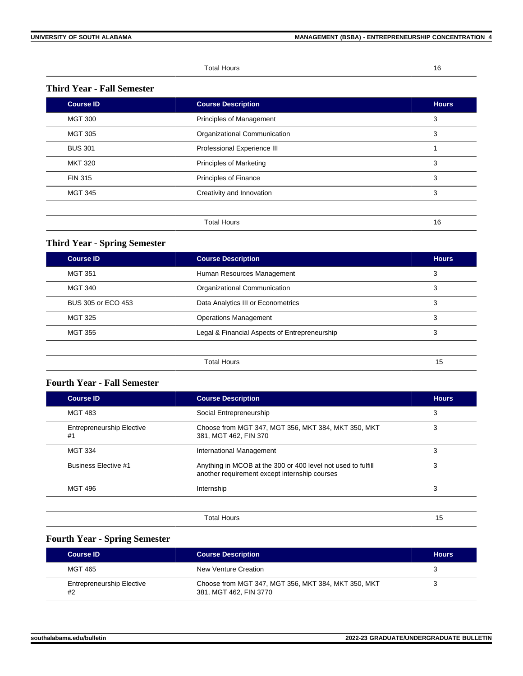Total Hours 16

### **Third Year - Fall Semester**

| <b>Course ID</b> | <b>Course Description</b>      | <b>Hours</b> |
|------------------|--------------------------------|--------------|
| <b>MGT 300</b>   | Principles of Management       | 3            |
| <b>MGT 305</b>   | Organizational Communication   | 3            |
| <b>BUS 301</b>   | Professional Experience III    |              |
| <b>MKT 320</b>   | <b>Principles of Marketing</b> | 3            |
| <b>FIN 315</b>   | Principles of Finance          | 3            |
| <b>MGT 345</b>   | Creativity and Innovation      | 3            |
|                  |                                |              |
|                  | <b>Total Hours</b>             | 16           |

# **Third Year - Spring Semester**

| <b>Course ID</b>   | <b>Course Description</b>                     | <b>Hours</b> |
|--------------------|-----------------------------------------------|--------------|
| <b>MGT 351</b>     | Human Resources Management                    | 3            |
| <b>MGT 340</b>     | Organizational Communication                  | 3            |
| BUS 305 or ECO 453 | Data Analytics III or Econometrics            | 3            |
| <b>MGT 325</b>     | <b>Operations Management</b>                  | 3            |
| <b>MGT 355</b>     | Legal & Financial Aspects of Entrepreneurship | 3            |
|                    |                                               |              |
|                    | <b>Total Hours</b>                            | 15           |

# **Fourth Year - Fall Semester**

| <b>Course ID</b>                       | <b>Course Description</b>                                                                                     | <b>Hours</b> |
|----------------------------------------|---------------------------------------------------------------------------------------------------------------|--------------|
| <b>MGT 483</b>                         | Social Entrepreneurship                                                                                       | 3            |
| <b>Entrepreneurship Elective</b><br>#1 | Choose from MGT 347, MGT 356, MKT 384, MKT 350, MKT<br>381, MGT 462, FIN 370                                  | 3            |
| <b>MGT 334</b>                         | International Management                                                                                      | 3            |
| <b>Business Elective #1</b>            | Anything in MCOB at the 300 or 400 level not used to fulfill<br>another requirement except internship courses | 3            |
| <b>MGT 496</b>                         | Internship                                                                                                    | 3            |
|                                        | <b>Total Hours</b>                                                                                            | 15           |

# **Fourth Year - Spring Semester**

| <b>Course ID</b>                       | <b>Course Description</b>                                                     | <b>Hours</b> |
|----------------------------------------|-------------------------------------------------------------------------------|--------------|
| MGT 465                                | New Venture Creation                                                          |              |
| <b>Entrepreneurship Elective</b><br>#2 | Choose from MGT 347, MGT 356, MKT 384, MKT 350, MKT<br>381, MGT 462, FIN 3770 |              |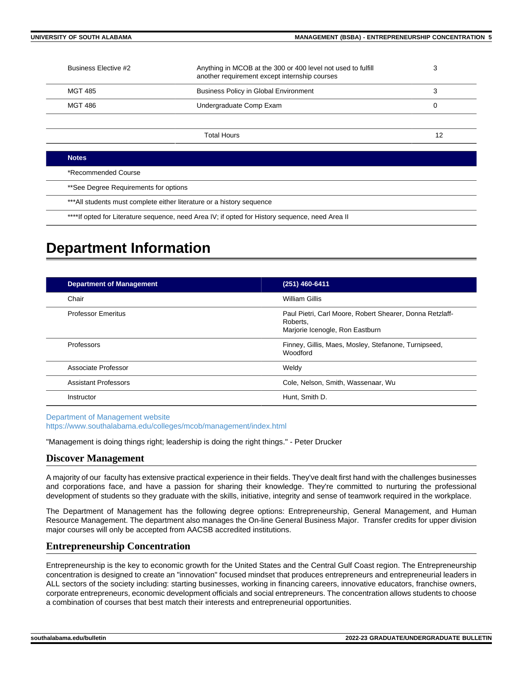| Business Elective #2                  | Anything in MCOB at the 300 or 400 level not used to fulfill<br>another requirement except internship courses | 3  |
|---------------------------------------|---------------------------------------------------------------------------------------------------------------|----|
| <b>MGT 485</b>                        | <b>Business Policy in Global Environment</b>                                                                  | 3  |
| <b>MGT 486</b>                        | Undergraduate Comp Exam                                                                                       | 0  |
|                                       |                                                                                                               |    |
|                                       | <b>Total Hours</b>                                                                                            | 12 |
|                                       |                                                                                                               |    |
| <b>Notes</b>                          |                                                                                                               |    |
| *Recommended Course                   |                                                                                                               |    |
| **See Degree Requirements for options |                                                                                                               |    |
|                                       | *** All students must complete either literature or a history sequence                                        |    |

\*\*\*\*If opted for Literature sequence, need Area IV; if opted for History sequence, need Area II

# **Department Information**

| <b>Department of Management</b> | (251) 460-6411                                                                                          |
|---------------------------------|---------------------------------------------------------------------------------------------------------|
| Chair                           | <b>William Gillis</b>                                                                                   |
| <b>Professor Emeritus</b>       | Paul Pietri, Carl Moore, Robert Shearer, Donna Retzlaff-<br>Roberts,<br>Marjorie Icenogle, Ron Eastburn |
| Professors                      | Finney, Gillis, Maes, Mosley, Stefanone, Turnipseed,<br><b>Woodford</b>                                 |
| Associate Professor             | Weldy                                                                                                   |
| <b>Assistant Professors</b>     | Cole, Nelson, Smith, Wassenaar, Wu                                                                      |
| Instructor                      | Hunt, Smith D.                                                                                          |

[Department of Management website](https://www.southalabama.edu/colleges/mcob/management/index.html) <https://www.southalabama.edu/colleges/mcob/management/index.html>

"Management is doing things right; leadership is doing the right things." - Peter Drucker

### **Discover Management**

A majority of our faculty has extensive practical experience in their fields. They've dealt first hand with the challenges businesses and corporations face, and have a passion for sharing their knowledge. They're committed to nurturing the professional development of students so they graduate with the skills, initiative, integrity and sense of teamwork required in the workplace.

The Department of Management has the following degree options: Entrepreneurship, General Management, and Human Resource Management. The department also manages the On-line General Business Major. Transfer credits for upper division major courses will only be accepted from AACSB accredited institutions.

# **Entrepreneurship Concentration**

Entrepreneurship is the key to economic growth for the United States and the Central Gulf Coast region. The Entrepreneurship concentration is designed to create an "innovation" focused mindset that produces entrepreneurs and entrepreneurial leaders in ALL sectors of the society including: starting businesses, working in financing careers, innovative educators, franchise owners, corporate entrepreneurs, economic development officials and social entrepreneurs. The concentration allows students to choose a combination of courses that best match their interests and entrepreneurial opportunities.